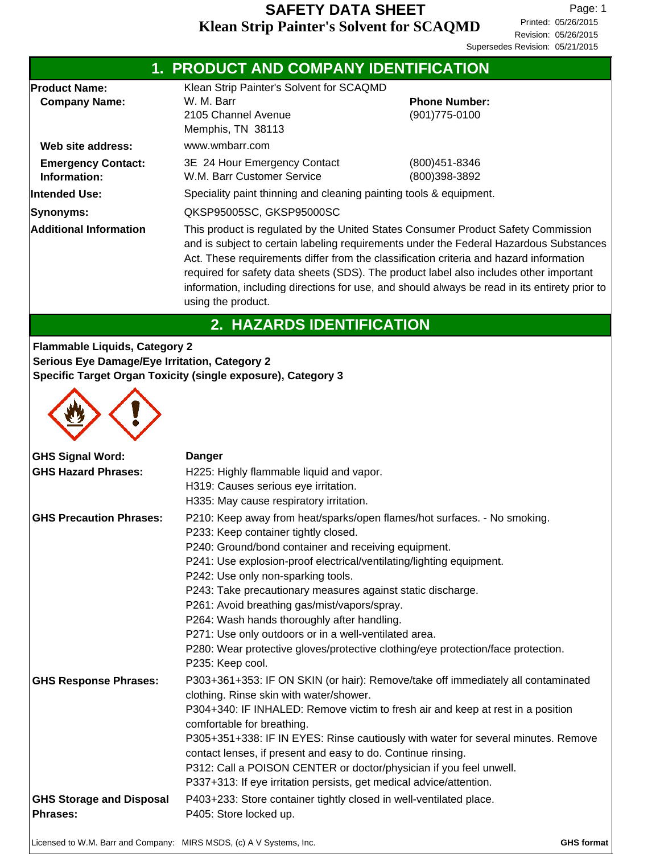|                                                                | 1. PRODUCT AND COMPANY IDENTIFICATION                                                                                                                                                                                                                                                                                                                                                                                                                                                                                             |                                                                                                                                                                      |  |  |
|----------------------------------------------------------------|-----------------------------------------------------------------------------------------------------------------------------------------------------------------------------------------------------------------------------------------------------------------------------------------------------------------------------------------------------------------------------------------------------------------------------------------------------------------------------------------------------------------------------------|----------------------------------------------------------------------------------------------------------------------------------------------------------------------|--|--|
| <b>Product Name:</b>                                           | Klean Strip Painter's Solvent for SCAQMD                                                                                                                                                                                                                                                                                                                                                                                                                                                                                          |                                                                                                                                                                      |  |  |
| <b>Company Name:</b>                                           | W. M. Barr                                                                                                                                                                                                                                                                                                                                                                                                                                                                                                                        | <b>Phone Number:</b>                                                                                                                                                 |  |  |
|                                                                | 2105 Channel Avenue                                                                                                                                                                                                                                                                                                                                                                                                                                                                                                               | (901) 775-0100                                                                                                                                                       |  |  |
|                                                                | Memphis, TN 38113                                                                                                                                                                                                                                                                                                                                                                                                                                                                                                                 |                                                                                                                                                                      |  |  |
| Web site address:                                              | www.wmbarr.com                                                                                                                                                                                                                                                                                                                                                                                                                                                                                                                    |                                                                                                                                                                      |  |  |
| <b>Emergency Contact:</b>                                      | 3E 24 Hour Emergency Contact                                                                                                                                                                                                                                                                                                                                                                                                                                                                                                      | (800) 451-8346                                                                                                                                                       |  |  |
| Information:                                                   | W.M. Barr Customer Service                                                                                                                                                                                                                                                                                                                                                                                                                                                                                                        | (800)398-3892                                                                                                                                                        |  |  |
| Intended Use:                                                  | Speciality paint thinning and cleaning painting tools & equipment.                                                                                                                                                                                                                                                                                                                                                                                                                                                                |                                                                                                                                                                      |  |  |
| Synonyms:                                                      | QKSP95005SC, GKSP95000SC                                                                                                                                                                                                                                                                                                                                                                                                                                                                                                          |                                                                                                                                                                      |  |  |
| <b>Additional Information</b>                                  | This product is regulated by the United States Consumer Product Safety Commission<br>and is subject to certain labeling requirements under the Federal Hazardous Substances<br>Act. These requirements differ from the classification criteria and hazard information<br>required for safety data sheets (SDS). The product label also includes other important<br>information, including directions for use, and should always be read in its entirety prior to<br>using the product.                                            |                                                                                                                                                                      |  |  |
|                                                                | 2. HAZARDS IDENTIFICATION                                                                                                                                                                                                                                                                                                                                                                                                                                                                                                         |                                                                                                                                                                      |  |  |
| <b>Serious Eye Damage/Eye Irritation, Category 2</b>           | Specific Target Organ Toxicity (single exposure), Category 3                                                                                                                                                                                                                                                                                                                                                                                                                                                                      |                                                                                                                                                                      |  |  |
| <b>GHS Signal Word:</b><br><b>GHS Hazard Phrases:</b>          | <b>Danger</b><br>H225: Highly flammable liquid and vapor.<br>H319: Causes serious eye irritation.<br>H335: May cause respiratory irritation.                                                                                                                                                                                                                                                                                                                                                                                      |                                                                                                                                                                      |  |  |
| <b>GHS Precaution Phrases:</b><br><b>GHS Response Phrases:</b> | P210: Keep away from heat/sparks/open flames/hot surfaces. - No smoking.<br>P233: Keep container tightly closed.<br>P240: Ground/bond container and receiving equipment.<br>P241: Use explosion-proof electrical/ventilating/lighting equipment.<br>P242: Use only non-sparking tools.<br>P243: Take precautionary measures against static discharge.<br>P261: Avoid breathing gas/mist/vapors/spray.<br>P264: Wash hands thoroughly after handling.<br>P271: Use only outdoors or in a well-ventilated area.<br>P235: Keep cool. | P280: Wear protective gloves/protective clothing/eye protection/face protection.<br>P303+361+353: IF ON SKIN (or hair): Remove/take off immediately all contaminated |  |  |
|                                                                | clothing. Rinse skin with water/shower.<br>comfortable for breathing.<br>contact lenses, if present and easy to do. Continue rinsing.<br>P312: Call a POISON CENTER or doctor/physician if you feel unwell.<br>P337+313: If eye irritation persists, get medical advice/attention.                                                                                                                                                                                                                                                | P304+340: IF INHALED: Remove victim to fresh air and keep at rest in a position<br>P305+351+338: IF IN EYES: Rinse cautiously with water for several minutes. Remove |  |  |
| <b>GHS Storage and Disposal</b><br><b>Phrases:</b>             | P403+233: Store container tightly closed in well-ventilated place.<br>P405: Store locked up.                                                                                                                                                                                                                                                                                                                                                                                                                                      |                                                                                                                                                                      |  |  |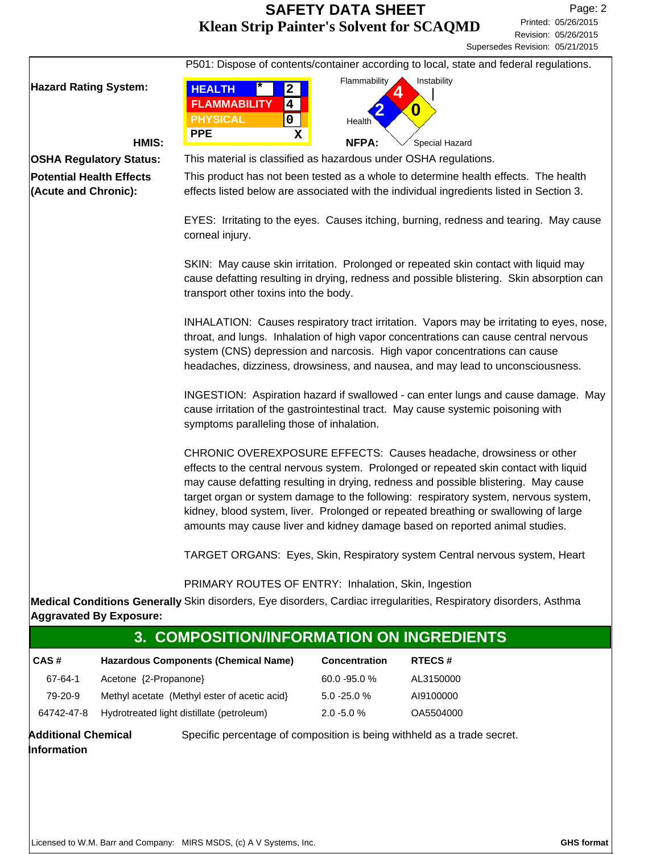|                                | P501: Dispose of contents/container according to local, state and federal regulations.                                                                                                                                                                                                                                                                                                                                                                                                                          |
|--------------------------------|-----------------------------------------------------------------------------------------------------------------------------------------------------------------------------------------------------------------------------------------------------------------------------------------------------------------------------------------------------------------------------------------------------------------------------------------------------------------------------------------------------------------|
| <b>Hazard Rating System:</b>   | Flammability<br>Instability<br><b>HEALTH</b><br>$\mathbf{2}$                                                                                                                                                                                                                                                                                                                                                                                                                                                    |
|                                | <b>FLAMMABILITY</b><br>$\overline{\mathbf{4}}$                                                                                                                                                                                                                                                                                                                                                                                                                                                                  |
|                                | 0<br><b>PHYSICAL</b><br>$\mathbf 0$<br><b>Health</b>                                                                                                                                                                                                                                                                                                                                                                                                                                                            |
|                                | <b>PPE</b><br>х                                                                                                                                                                                                                                                                                                                                                                                                                                                                                                 |
| HMIS:                          | <b>NFPA:</b><br>Special Hazard                                                                                                                                                                                                                                                                                                                                                                                                                                                                                  |
| <b>OSHA Regulatory Status:</b> | This material is classified as hazardous under OSHA regulations.                                                                                                                                                                                                                                                                                                                                                                                                                                                |
| Potential Health Effects       | This product has not been tested as a whole to determine health effects. The health                                                                                                                                                                                                                                                                                                                                                                                                                             |
| (Acute and Chronic):           | effects listed below are associated with the individual ingredients listed in Section 3.                                                                                                                                                                                                                                                                                                                                                                                                                        |
|                                | EYES: Irritating to the eyes. Causes itching, burning, redness and tearing. May cause<br>corneal injury.                                                                                                                                                                                                                                                                                                                                                                                                        |
|                                | SKIN: May cause skin irritation. Prolonged or repeated skin contact with liquid may<br>cause defatting resulting in drying, redness and possible blistering. Skin absorption can<br>transport other toxins into the body.                                                                                                                                                                                                                                                                                       |
|                                | INHALATION: Causes respiratory tract irritation. Vapors may be irritating to eyes, nose,<br>throat, and lungs. Inhalation of high vapor concentrations can cause central nervous<br>system (CNS) depression and narcosis. High vapor concentrations can cause<br>headaches, dizziness, drowsiness, and nausea, and may lead to unconsciousness.                                                                                                                                                                 |
|                                | INGESTION: Aspiration hazard if swallowed - can enter lungs and cause damage. May<br>cause irritation of the gastrointestinal tract. May cause systemic poisoning with<br>symptoms paralleling those of inhalation.                                                                                                                                                                                                                                                                                             |
|                                | CHRONIC OVEREXPOSURE EFFECTS: Causes headache, drowsiness or other<br>effects to the central nervous system. Prolonged or repeated skin contact with liquid<br>may cause defatting resulting in drying, redness and possible blistering. May cause<br>target organ or system damage to the following: respiratory system, nervous system,<br>kidney, blood system, liver. Prolonged or repeated breathing or swallowing of large<br>amounts may cause liver and kidney damage based on reported animal studies. |
|                                | TARGET ORGANS: Eyes, Skin, Respiratory system Central nervous system, Heart                                                                                                                                                                                                                                                                                                                                                                                                                                     |
|                                | PRIMARY ROUTES OF ENTRY: Inhalation, Skin, Ingestion                                                                                                                                                                                                                                                                                                                                                                                                                                                            |
|                                | Medical Conditions Generally Skin disorders, Eye disorders, Cardiac irregularities, Respiratory disorders, Asthma                                                                                                                                                                                                                                                                                                                                                                                               |
| <b>Aggravated By Exposure:</b> |                                                                                                                                                                                                                                                                                                                                                                                                                                                                                                                 |

| 3. COMPOSITION/INFORMATION ON INGREDIENTS |                                              |                 |               |  |
|-------------------------------------------|----------------------------------------------|-----------------|---------------|--|
| CAS#                                      | <b>Hazardous Components (Chemical Name)</b>  | Concentration   | <b>RTECS#</b> |  |
| 67-64-1                                   | Acetone {2-Propanone}                        | $60.0 - 95.0 %$ | AL3150000     |  |
| 79-20-9                                   | Methyl acetate (Methyl ester of acetic acid) | $5.0 - 25.0 %$  | AI9100000     |  |
| 64742-47-8                                | Hydrotreated light distillate (petroleum)    | $2.0 - 5.0 %$   | OA5504000     |  |
|                                           |                                              |                 |               |  |

**Additional Chemical** Specific percentage of composition is being withheld as a trade secret. **Information**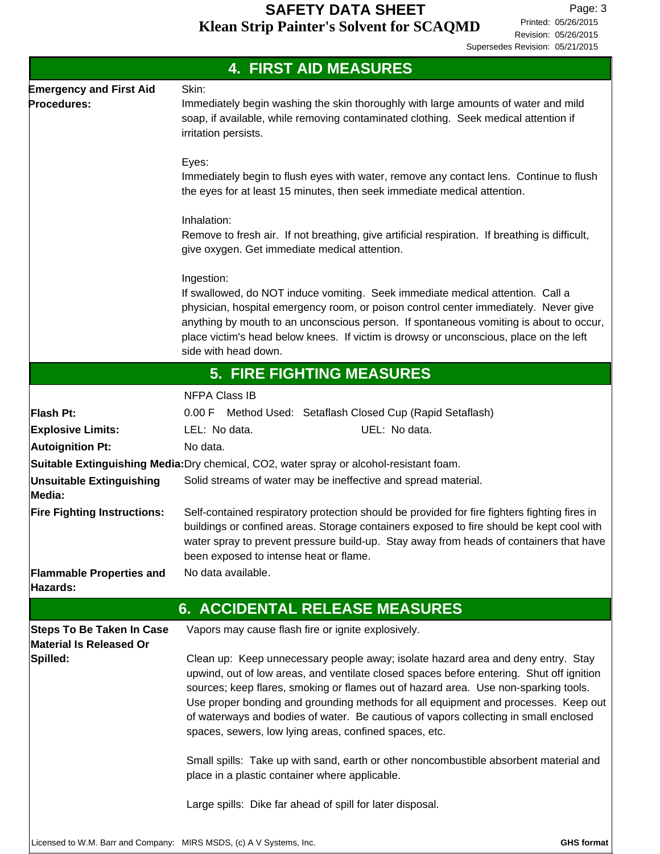Revision: 05/26/2015 Printed: 05/26/2015 Page: 3 Supersedes Revision: 05/21/2015

|                                                                     | <b>4. FIRST AID MEASURES</b>                                                                                                                                                                                                                                                                                                                                                                                                                                                                                                                                                                                                                                                                                        |
|---------------------------------------------------------------------|---------------------------------------------------------------------------------------------------------------------------------------------------------------------------------------------------------------------------------------------------------------------------------------------------------------------------------------------------------------------------------------------------------------------------------------------------------------------------------------------------------------------------------------------------------------------------------------------------------------------------------------------------------------------------------------------------------------------|
| <b>Emergency and First Aid</b><br>Procedures:                       | Skin:<br>Immediately begin washing the skin thoroughly with large amounts of water and mild<br>soap, if available, while removing contaminated clothing. Seek medical attention if<br>irritation persists.                                                                                                                                                                                                                                                                                                                                                                                                                                                                                                          |
|                                                                     | Eyes:<br>Immediately begin to flush eyes with water, remove any contact lens. Continue to flush<br>the eyes for at least 15 minutes, then seek immediate medical attention.                                                                                                                                                                                                                                                                                                                                                                                                                                                                                                                                         |
|                                                                     | Inhalation:<br>Remove to fresh air. If not breathing, give artificial respiration. If breathing is difficult,<br>give oxygen. Get immediate medical attention.                                                                                                                                                                                                                                                                                                                                                                                                                                                                                                                                                      |
|                                                                     | Ingestion:<br>If swallowed, do NOT induce vomiting. Seek immediate medical attention. Call a<br>physician, hospital emergency room, or poison control center immediately. Never give<br>anything by mouth to an unconscious person. If spontaneous vomiting is about to occur,<br>place victim's head below knees. If victim is drowsy or unconscious, place on the left<br>side with head down.                                                                                                                                                                                                                                                                                                                    |
|                                                                     | <b>5. FIRE FIGHTING MEASURES</b>                                                                                                                                                                                                                                                                                                                                                                                                                                                                                                                                                                                                                                                                                    |
|                                                                     | <b>NFPA Class IB</b>                                                                                                                                                                                                                                                                                                                                                                                                                                                                                                                                                                                                                                                                                                |
| Flash Pt:                                                           | 0.00 F Method Used: Setaflash Closed Cup (Rapid Setaflash)                                                                                                                                                                                                                                                                                                                                                                                                                                                                                                                                                                                                                                                          |
| <b>Explosive Limits:</b>                                            | UEL: No data.<br>LEL: No data.                                                                                                                                                                                                                                                                                                                                                                                                                                                                                                                                                                                                                                                                                      |
| <b>Autoignition Pt:</b>                                             | No data.                                                                                                                                                                                                                                                                                                                                                                                                                                                                                                                                                                                                                                                                                                            |
|                                                                     | Suitable Extinguishing Media: Dry chemical, CO2, water spray or alcohol-resistant foam.                                                                                                                                                                                                                                                                                                                                                                                                                                                                                                                                                                                                                             |
| <b>Unsuitable Extinguishing</b><br>Media:                           | Solid streams of water may be ineffective and spread material.                                                                                                                                                                                                                                                                                                                                                                                                                                                                                                                                                                                                                                                      |
| <b>Fire Fighting Instructions:</b>                                  | Self-contained respiratory protection should be provided for fire fighters fighting fires in<br>buildings or confined areas. Storage containers exposed to fire should be kept cool with<br>water spray to prevent pressure build-up. Stay away from heads of containers that have<br>been exposed to intense heat or flame.                                                                                                                                                                                                                                                                                                                                                                                        |
| <b>Flammable Properties and</b>                                     | No data available.                                                                                                                                                                                                                                                                                                                                                                                                                                                                                                                                                                                                                                                                                                  |
| Hazards:                                                            |                                                                                                                                                                                                                                                                                                                                                                                                                                                                                                                                                                                                                                                                                                                     |
|                                                                     | <b>6. ACCIDENTAL RELEASE MEASURES</b>                                                                                                                                                                                                                                                                                                                                                                                                                                                                                                                                                                                                                                                                               |
| <b>Steps To Be Taken In Case</b><br>Material Is Released Or         | Vapors may cause flash fire or ignite explosively.                                                                                                                                                                                                                                                                                                                                                                                                                                                                                                                                                                                                                                                                  |
| Spilled:                                                            | Clean up: Keep unnecessary people away; isolate hazard area and deny entry. Stay<br>upwind, out of low areas, and ventilate closed spaces before entering. Shut off ignition<br>sources; keep flares, smoking or flames out of hazard area. Use non-sparking tools.<br>Use proper bonding and grounding methods for all equipment and processes. Keep out<br>of waterways and bodies of water. Be cautious of vapors collecting in small enclosed<br>spaces, sewers, low lying areas, confined spaces, etc.<br>Small spills: Take up with sand, earth or other noncombustible absorbent material and<br>place in a plastic container where applicable.<br>Large spills: Dike far ahead of spill for later disposal. |
| Licensed to W.M. Barr and Company: MIRS MSDS, (c) A V Systems, Inc. | <b>GHS format</b>                                                                                                                                                                                                                                                                                                                                                                                                                                                                                                                                                                                                                                                                                                   |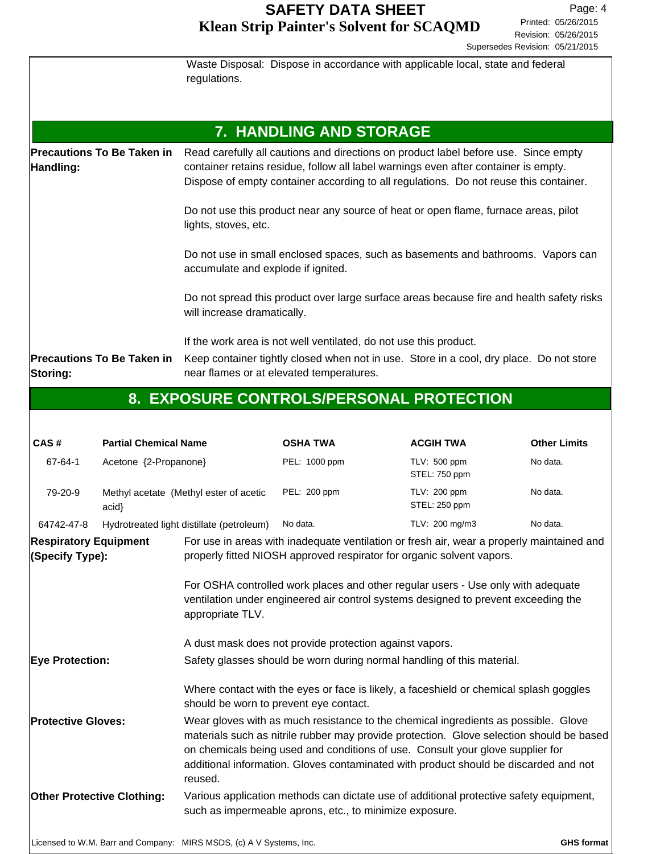|                                                | Waste Disposal: Dispose in accordance with applicable local, state and federal<br>regulations.                                                                                                                                                                      |
|------------------------------------------------|---------------------------------------------------------------------------------------------------------------------------------------------------------------------------------------------------------------------------------------------------------------------|
|                                                | 7. HANDLING AND STORAGE                                                                                                                                                                                                                                             |
| <b>Precautions To Be Taken in</b><br>Handling: | Read carefully all cautions and directions on product label before use. Since empty<br>container retains residue, follow all label warnings even after container is empty.<br>Dispose of empty container according to all regulations. Do not reuse this container. |
|                                                | Do not use this product near any source of heat or open flame, furnace areas, pilot<br>lights, stoves, etc.                                                                                                                                                         |
|                                                | Do not use in small enclosed spaces, such as basements and bathrooms. Vapors can<br>accumulate and explode if ignited.                                                                                                                                              |
|                                                | Do not spread this product over large surface areas because fire and health safety risks<br>will increase dramatically.                                                                                                                                             |
| <b>Precautions To Be Taken in</b><br>Storing:  | If the work area is not well ventilated, do not use this product.<br>Keep container tightly closed when not in use. Store in a cool, dry place. Do not store<br>near flames or at elevated temperatures.                                                            |

# **8. EXPOSURE CONTROLS/PERSONAL PROTECTION**

| CAS#                                                                                                                                                                                                                                                                                                                                                                                             | <b>Partial Chemical Name</b> |                                                                                                                                                                                                                                                                                                                                                                  | <b>OSHA TWA</b>                                                                        | <b>ACGIH TWA</b>              | <b>Other Limits</b> |  |
|--------------------------------------------------------------------------------------------------------------------------------------------------------------------------------------------------------------------------------------------------------------------------------------------------------------------------------------------------------------------------------------------------|------------------------------|------------------------------------------------------------------------------------------------------------------------------------------------------------------------------------------------------------------------------------------------------------------------------------------------------------------------------------------------------------------|----------------------------------------------------------------------------------------|-------------------------------|---------------------|--|
| 67-64-1                                                                                                                                                                                                                                                                                                                                                                                          | Acetone {2-Propanone}        |                                                                                                                                                                                                                                                                                                                                                                  | PEL: 1000 ppm                                                                          | TLV: 500 ppm<br>STEL: 750 ppm | No data.            |  |
| 79-20-9                                                                                                                                                                                                                                                                                                                                                                                          | acid                         | Methyl acetate (Methyl ester of acetic                                                                                                                                                                                                                                                                                                                           | PEL: 200 ppm                                                                           | TLV: 200 ppm<br>STEL: 250 ppm | No data.            |  |
| 64742-47-8                                                                                                                                                                                                                                                                                                                                                                                       |                              | Hydrotreated light distillate (petroleum)                                                                                                                                                                                                                                                                                                                        | No data.                                                                               | TLV: 200 mg/m3                | No data.            |  |
| <b>Respiratory Equipment</b><br>(Specify Type):                                                                                                                                                                                                                                                                                                                                                  |                              | For use in areas with inadequate ventilation or fresh air, wear a properly maintained and<br>properly fitted NIOSH approved respirator for organic solvent vapors.<br>For OSHA controlled work places and other regular users - Use only with adequate<br>ventilation under engineered air control systems designed to prevent exceeding the<br>appropriate TLV. |                                                                                        |                               |                     |  |
|                                                                                                                                                                                                                                                                                                                                                                                                  |                              | A dust mask does not provide protection against vapors.                                                                                                                                                                                                                                                                                                          |                                                                                        |                               |                     |  |
| <b>Eye Protection:</b>                                                                                                                                                                                                                                                                                                                                                                           |                              |                                                                                                                                                                                                                                                                                                                                                                  | Safety glasses should be worn during normal handling of this material.                 |                               |                     |  |
|                                                                                                                                                                                                                                                                                                                                                                                                  |                              | should be worn to prevent eye contact.                                                                                                                                                                                                                                                                                                                           | Where contact with the eyes or face is likely, a faceshield or chemical splash goggles |                               |                     |  |
| <b>Protective Gloves:</b><br>Wear gloves with as much resistance to the chemical ingredients as possible. Glove<br>materials such as nitrile rubber may provide protection. Glove selection should be based<br>on chemicals being used and conditions of use. Consult your glove supplier for<br>additional information. Gloves contaminated with product should be discarded and not<br>reused. |                              |                                                                                                                                                                                                                                                                                                                                                                  |                                                                                        |                               |                     |  |
| <b>Other Protective Clothing:</b><br>Various application methods can dictate use of additional protective safety equipment,<br>such as impermeable aprons, etc., to minimize exposure.                                                                                                                                                                                                           |                              |                                                                                                                                                                                                                                                                                                                                                                  |                                                                                        |                               |                     |  |
|                                                                                                                                                                                                                                                                                                                                                                                                  |                              | Licensed to W.M. Barr and Company: MIRS MSDS, (c) A V Systems, Inc.                                                                                                                                                                                                                                                                                              |                                                                                        |                               | <b>GHS format</b>   |  |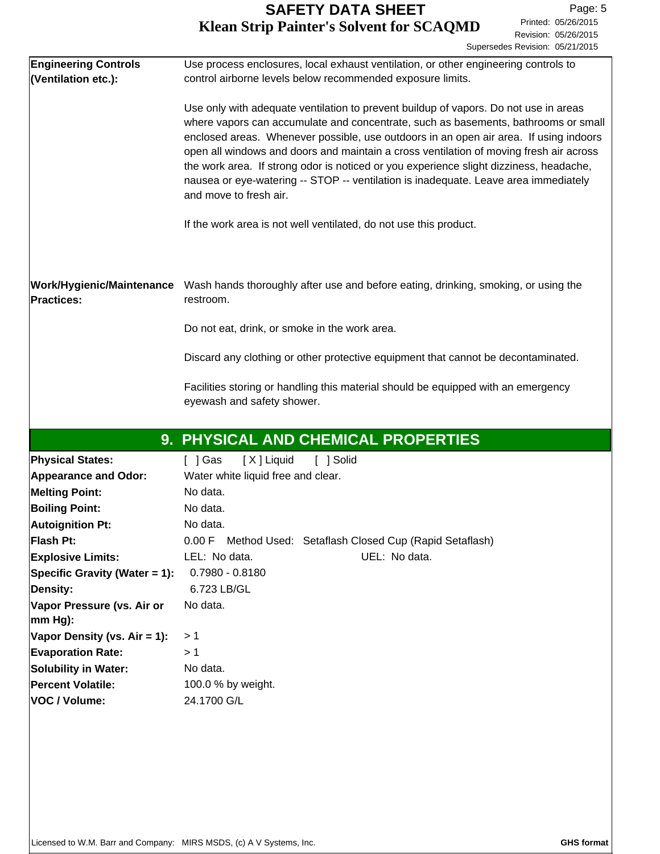| <b>Engineering Controls</b><br>(Ventilation etc.): | Use process enclosures, local exhaust ventilation, or other engineering controls to<br>control airborne levels below recommended exposure limits.                                                                                                                                                                                                                                                                                                                                                                                                                        |
|----------------------------------------------------|--------------------------------------------------------------------------------------------------------------------------------------------------------------------------------------------------------------------------------------------------------------------------------------------------------------------------------------------------------------------------------------------------------------------------------------------------------------------------------------------------------------------------------------------------------------------------|
|                                                    | Use only with adequate ventilation to prevent buildup of vapors. Do not use in areas<br>where vapors can accumulate and concentrate, such as basements, bathrooms or small<br>enclosed areas. Whenever possible, use outdoors in an open air area. If using indoors<br>open all windows and doors and maintain a cross ventilation of moving fresh air across<br>the work area. If strong odor is noticed or you experience slight dizziness, headache,<br>nausea or eye-watering -- STOP -- ventilation is inadequate. Leave area immediately<br>and move to fresh air. |
|                                                    | If the work area is not well ventilated, do not use this product.                                                                                                                                                                                                                                                                                                                                                                                                                                                                                                        |
| <b>Practices:</b>                                  | Work/Hygienic/Maintenance Wash hands thoroughly after use and before eating, drinking, smoking, or using the<br>restroom.                                                                                                                                                                                                                                                                                                                                                                                                                                                |
|                                                    | Do not eat, drink, or smoke in the work area.                                                                                                                                                                                                                                                                                                                                                                                                                                                                                                                            |
|                                                    | Discard any clothing or other protective equipment that cannot be decontaminated.                                                                                                                                                                                                                                                                                                                                                                                                                                                                                        |
|                                                    | Facilities storing or handling this material should be equipped with an emergency<br>eyewash and safety shower.                                                                                                                                                                                                                                                                                                                                                                                                                                                          |
|                                                    | 9. PHYSICAL AND CHEMICAL PROPERTIES                                                                                                                                                                                                                                                                                                                                                                                                                                                                                                                                      |
| <b>Physical States:</b>                            | [X] Liquid<br>$[$ ] Gas<br>[ ] Solid                                                                                                                                                                                                                                                                                                                                                                                                                                                                                                                                     |
| <b>Appearance and Odor:</b>                        | Water white liquid free and clear.                                                                                                                                                                                                                                                                                                                                                                                                                                                                                                                                       |
| <b>Melting Point:</b>                              | No data.                                                                                                                                                                                                                                                                                                                                                                                                                                                                                                                                                                 |
| <b>Boiling Point:</b>                              | No data.                                                                                                                                                                                                                                                                                                                                                                                                                                                                                                                                                                 |
| <b>Autoignition Pt:</b>                            | No data.                                                                                                                                                                                                                                                                                                                                                                                                                                                                                                                                                                 |
| Flash Pt:                                          | 0.00 F Method Used: Setaflash Closed Cup (Rapid Setaflash)                                                                                                                                                                                                                                                                                                                                                                                                                                                                                                               |
| <b>Explosive Limits:</b>                           | LEL: No data.<br>UEL: No data.                                                                                                                                                                                                                                                                                                                                                                                                                                                                                                                                           |
| Specific Gravity (Water = 1):                      | $0.7980 - 0.8180$                                                                                                                                                                                                                                                                                                                                                                                                                                                                                                                                                        |
| Density:                                           | 6.723 LB/GL                                                                                                                                                                                                                                                                                                                                                                                                                                                                                                                                                              |
| Vapor Pressure (vs. Air or<br>$ mm Hg$ :           | No data.                                                                                                                                                                                                                                                                                                                                                                                                                                                                                                                                                                 |
| Vapor Density (vs. Air = 1):                       | >1                                                                                                                                                                                                                                                                                                                                                                                                                                                                                                                                                                       |
| <b>Evaporation Rate:</b>                           | >1                                                                                                                                                                                                                                                                                                                                                                                                                                                                                                                                                                       |
| Solubility in Water:                               | No data.                                                                                                                                                                                                                                                                                                                                                                                                                                                                                                                                                                 |
| <b>Percent Volatile:</b>                           | 100.0 % by weight.                                                                                                                                                                                                                                                                                                                                                                                                                                                                                                                                                       |
| VOC / Volume:                                      | 24.1700 G/L                                                                                                                                                                                                                                                                                                                                                                                                                                                                                                                                                              |
|                                                    |                                                                                                                                                                                                                                                                                                                                                                                                                                                                                                                                                                          |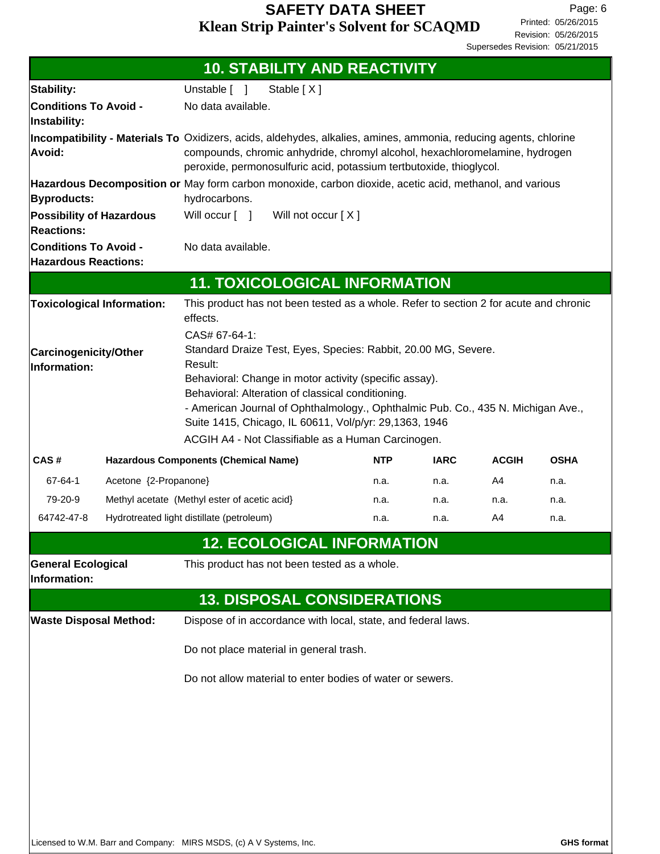|                                                                                                                                                |                                                                                   | <b>10. STABILITY AND REACTIVITY</b>                                                                                                                                                                                                                                                                                                                                                                           |            |             |              |             |
|------------------------------------------------------------------------------------------------------------------------------------------------|-----------------------------------------------------------------------------------|---------------------------------------------------------------------------------------------------------------------------------------------------------------------------------------------------------------------------------------------------------------------------------------------------------------------------------------------------------------------------------------------------------------|------------|-------------|--------------|-------------|
| Unstable [ ]<br>Stable [X]<br>Stability:                                                                                                       |                                                                                   |                                                                                                                                                                                                                                                                                                                                                                                                               |            |             |              |             |
| Instability:                                                                                                                                   | <b>Conditions To Avoid -</b><br>No data available.                                |                                                                                                                                                                                                                                                                                                                                                                                                               |            |             |              |             |
| Avoid:                                                                                                                                         |                                                                                   | Incompatibility - Materials To Oxidizers, acids, aldehydes, alkalies, amines, ammonia, reducing agents, chlorine<br>compounds, chromic anhydride, chromyl alcohol, hexachloromelamine, hydrogen<br>peroxide, permonosulfuric acid, potassium tertbutoxide, thioglycol.                                                                                                                                        |            |             |              |             |
| Hazardous Decomposition or May form carbon monoxide, carbon dioxide, acetic acid, methanol, and various<br>hydrocarbons.<br><b>Byproducts:</b> |                                                                                   |                                                                                                                                                                                                                                                                                                                                                                                                               |            |             |              |             |
| <b>Possibility of Hazardous</b><br><b>Reactions:</b>                                                                                           |                                                                                   | Will occur $\lceil \quad \rceil$<br>Will not occur [X]                                                                                                                                                                                                                                                                                                                                                        |            |             |              |             |
|                                                                                                                                                | <b>Conditions To Avoid -</b><br>No data available.<br><b>Hazardous Reactions:</b> |                                                                                                                                                                                                                                                                                                                                                                                                               |            |             |              |             |
|                                                                                                                                                |                                                                                   | <b>11. TOXICOLOGICAL INFORMATION</b>                                                                                                                                                                                                                                                                                                                                                                          |            |             |              |             |
|                                                                                                                                                | <b>Toxicological Information:</b>                                                 | This product has not been tested as a whole. Refer to section 2 for acute and chronic<br>effects.                                                                                                                                                                                                                                                                                                             |            |             |              |             |
| <b>Carcinogenicity/Other</b><br>Information:                                                                                                   |                                                                                   | CAS# 67-64-1:<br>Standard Draize Test, Eyes, Species: Rabbit, 20.00 MG, Severe.<br>Result:<br>Behavioral: Change in motor activity (specific assay).<br>Behavioral: Alteration of classical conditioning.<br>- American Journal of Ophthalmology., Ophthalmic Pub. Co., 435 N. Michigan Ave.,<br>Suite 1415, Chicago, IL 60611, Vol/p/yr: 29,1363, 1946<br>ACGIH A4 - Not Classifiable as a Human Carcinogen. |            |             |              |             |
| CAS#                                                                                                                                           |                                                                                   | <b>Hazardous Components (Chemical Name)</b>                                                                                                                                                                                                                                                                                                                                                                   | <b>NTP</b> | <b>IARC</b> | <b>ACGIH</b> | <b>OSHA</b> |
| 67-64-1                                                                                                                                        | Acetone {2-Propanone}                                                             |                                                                                                                                                                                                                                                                                                                                                                                                               | n.a.       | n.a.        | A4           | n.a.        |
| 79-20-9                                                                                                                                        |                                                                                   | Methyl acetate (Methyl ester of acetic acid)                                                                                                                                                                                                                                                                                                                                                                  | n.a.       | n.a.        | n.a.         | n.a.        |
| 64742-47-8                                                                                                                                     |                                                                                   | Hydrotreated light distillate (petroleum)                                                                                                                                                                                                                                                                                                                                                                     | n.a.       | n.a.        | A4           | n.a.        |
|                                                                                                                                                |                                                                                   | <b>12. ECOLOGICAL INFORMATION</b>                                                                                                                                                                                                                                                                                                                                                                             |            |             |              |             |
| <b>General Ecological</b><br>Information:                                                                                                      |                                                                                   | This product has not been tested as a whole.                                                                                                                                                                                                                                                                                                                                                                  |            |             |              |             |
|                                                                                                                                                |                                                                                   | <b>13. DISPOSAL CONSIDERATIONS</b>                                                                                                                                                                                                                                                                                                                                                                            |            |             |              |             |
| <b>Waste Disposal Method:</b>                                                                                                                  |                                                                                   | Dispose of in accordance with local, state, and federal laws.                                                                                                                                                                                                                                                                                                                                                 |            |             |              |             |
|                                                                                                                                                |                                                                                   | Do not place material in general trash.                                                                                                                                                                                                                                                                                                                                                                       |            |             |              |             |
|                                                                                                                                                |                                                                                   | Do not allow material to enter bodies of water or sewers.                                                                                                                                                                                                                                                                                                                                                     |            |             |              |             |
|                                                                                                                                                |                                                                                   |                                                                                                                                                                                                                                                                                                                                                                                                               |            |             |              |             |
|                                                                                                                                                |                                                                                   |                                                                                                                                                                                                                                                                                                                                                                                                               |            |             |              |             |
|                                                                                                                                                |                                                                                   |                                                                                                                                                                                                                                                                                                                                                                                                               |            |             |              |             |
|                                                                                                                                                |                                                                                   |                                                                                                                                                                                                                                                                                                                                                                                                               |            |             |              |             |
|                                                                                                                                                |                                                                                   |                                                                                                                                                                                                                                                                                                                                                                                                               |            |             |              |             |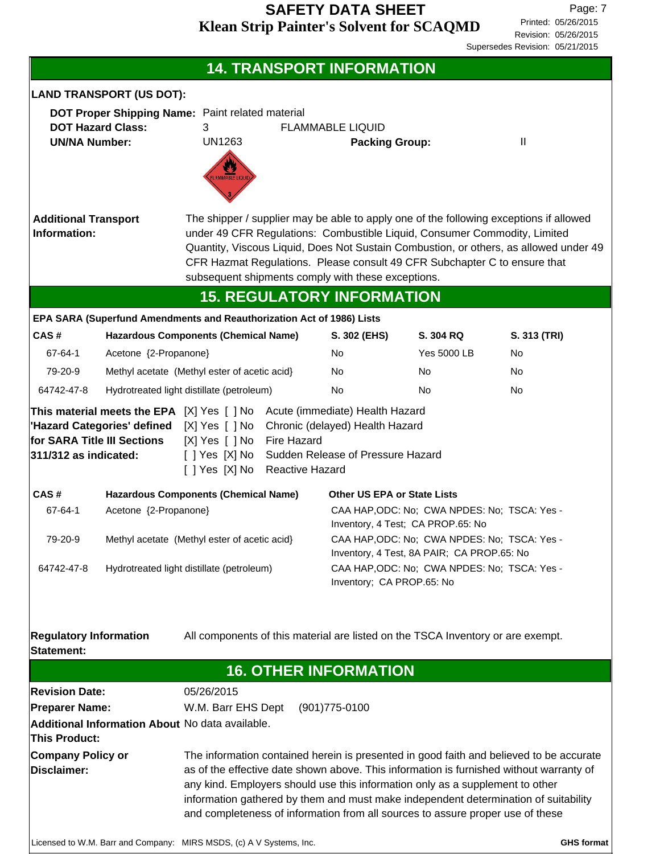|                                                                                                                                                                                                                                                                                                                                                                                                                                                                                         |                                                                                                                        |                                                                                          |                                                                                                                                 | <b>14. TRANSPORT INFORMATION</b>                                                                                                                                                                             |                                              |                                                                                                                                                                                 |  |
|-----------------------------------------------------------------------------------------------------------------------------------------------------------------------------------------------------------------------------------------------------------------------------------------------------------------------------------------------------------------------------------------------------------------------------------------------------------------------------------------|------------------------------------------------------------------------------------------------------------------------|------------------------------------------------------------------------------------------|---------------------------------------------------------------------------------------------------------------------------------|--------------------------------------------------------------------------------------------------------------------------------------------------------------------------------------------------------------|----------------------------------------------|---------------------------------------------------------------------------------------------------------------------------------------------------------------------------------|--|
|                                                                                                                                                                                                                                                                                                                                                                                                                                                                                         | <b>LAND TRANSPORT (US DOT):</b>                                                                                        |                                                                                          |                                                                                                                                 |                                                                                                                                                                                                              |                                              |                                                                                                                                                                                 |  |
| <b>UN/NA Number:</b>                                                                                                                                                                                                                                                                                                                                                                                                                                                                    | <b>DOT Hazard Class:</b>                                                                                               | DOT Proper Shipping Name: Paint related material<br>3<br><b>UN1263</b><br>LAMMABLE LIQUI |                                                                                                                                 | <b>FLAMMABLE LIQUID</b><br><b>Packing Group:</b>                                                                                                                                                             |                                              | $\mathbf{  }$                                                                                                                                                                   |  |
| <b>Additional Transport</b><br>Information:                                                                                                                                                                                                                                                                                                                                                                                                                                             |                                                                                                                        |                                                                                          |                                                                                                                                 | under 49 CFR Regulations: Combustible Liquid, Consumer Commodity, Limited<br>CFR Hazmat Regulations. Please consult 49 CFR Subchapter C to ensure that<br>subsequent shipments comply with these exceptions. |                                              | The shipper / supplier may be able to apply one of the following exceptions if allowed<br>Quantity, Viscous Liquid, Does Not Sustain Combustion, or others, as allowed under 49 |  |
|                                                                                                                                                                                                                                                                                                                                                                                                                                                                                         |                                                                                                                        |                                                                                          |                                                                                                                                 | <b>15. REGULATORY INFORMATION</b>                                                                                                                                                                            |                                              |                                                                                                                                                                                 |  |
| CAS#                                                                                                                                                                                                                                                                                                                                                                                                                                                                                    |                                                                                                                        | EPA SARA (Superfund Amendments and Reauthorization Act of 1986) Lists                    |                                                                                                                                 |                                                                                                                                                                                                              | S. 304 RQ                                    |                                                                                                                                                                                 |  |
| 67-64-1                                                                                                                                                                                                                                                                                                                                                                                                                                                                                 |                                                                                                                        | <b>Hazardous Components (Chemical Name)</b>                                              |                                                                                                                                 | S. 302 (EHS)<br><b>No</b>                                                                                                                                                                                    | <b>Yes 5000 LB</b>                           | S. 313 (TRI)<br>No                                                                                                                                                              |  |
| 79-20-9                                                                                                                                                                                                                                                                                                                                                                                                                                                                                 | Acetone {2-Propanone}<br>Methyl acetate (Methyl ester of acetic acid)                                                  |                                                                                          |                                                                                                                                 | No                                                                                                                                                                                                           | No                                           | No                                                                                                                                                                              |  |
| 64742-47-8                                                                                                                                                                                                                                                                                                                                                                                                                                                                              |                                                                                                                        | Hydrotreated light distillate (petroleum)                                                |                                                                                                                                 | <b>No</b>                                                                                                                                                                                                    | No.                                          | No                                                                                                                                                                              |  |
| 311/312 as indicated:                                                                                                                                                                                                                                                                                                                                                                                                                                                                   | 'Hazard Categories' defined<br>for SARA Title III Sections                                                             | [X] Yes [ ] No<br>[X] Yes [ ] No<br>[ ] Yes [X] No Reactive Hazard                       | Fire Hazard                                                                                                                     | Chronic (delayed) Health Hazard<br>[ ] Yes [X] No Sudden Release of Pressure Hazard                                                                                                                          |                                              |                                                                                                                                                                                 |  |
| CAS#                                                                                                                                                                                                                                                                                                                                                                                                                                                                                    |                                                                                                                        | <b>Hazardous Components (Chemical Name)</b>                                              |                                                                                                                                 | <b>Other US EPA or State Lists</b>                                                                                                                                                                           |                                              |                                                                                                                                                                                 |  |
| 67-64-1                                                                                                                                                                                                                                                                                                                                                                                                                                                                                 | Acetone {2-Propanone}                                                                                                  |                                                                                          |                                                                                                                                 |                                                                                                                                                                                                              | CAA HAP, ODC: No; CWA NPDES: No; TSCA: Yes - |                                                                                                                                                                                 |  |
| 79-20-9                                                                                                                                                                                                                                                                                                                                                                                                                                                                                 | Methyl acetate (Methyl ester of acetic acid)                                                                           |                                                                                          | Inventory, 4 Test; CA PROP.65: No<br>CAA HAP, ODC: No; CWA NPDES: No; TSCA: Yes -<br>Inventory, 4 Test, 8A PAIR; CA PROP.65: No |                                                                                                                                                                                                              |                                              |                                                                                                                                                                                 |  |
| 64742-47-8                                                                                                                                                                                                                                                                                                                                                                                                                                                                              | CAA HAP, ODC: No; CWA NPDES: No; TSCA: Yes -<br>Hydrotreated light distillate (petroleum)<br>Inventory; CA PROP.65: No |                                                                                          |                                                                                                                                 |                                                                                                                                                                                                              |                                              |                                                                                                                                                                                 |  |
| <b>Regulatory Information</b><br><b>Statement:</b>                                                                                                                                                                                                                                                                                                                                                                                                                                      |                                                                                                                        |                                                                                          |                                                                                                                                 | All components of this material are listed on the TSCA Inventory or are exempt.                                                                                                                              |                                              |                                                                                                                                                                                 |  |
|                                                                                                                                                                                                                                                                                                                                                                                                                                                                                         |                                                                                                                        |                                                                                          |                                                                                                                                 | <b>16. OTHER INFORMATION</b>                                                                                                                                                                                 |                                              |                                                                                                                                                                                 |  |
| 05/26/2015<br><b>Revision Date:</b>                                                                                                                                                                                                                                                                                                                                                                                                                                                     |                                                                                                                        |                                                                                          |                                                                                                                                 |                                                                                                                                                                                                              |                                              |                                                                                                                                                                                 |  |
| <b>Preparer Name:</b>                                                                                                                                                                                                                                                                                                                                                                                                                                                                   |                                                                                                                        | W.M. Barr EHS Dept<br>Additional Information About No data available.                    |                                                                                                                                 | $(901)775-0100$                                                                                                                                                                                              |                                              |                                                                                                                                                                                 |  |
| <b>This Product:</b>                                                                                                                                                                                                                                                                                                                                                                                                                                                                    |                                                                                                                        |                                                                                          |                                                                                                                                 |                                                                                                                                                                                                              |                                              |                                                                                                                                                                                 |  |
| The information contained herein is presented in good faith and believed to be accurate<br>Company Policy or<br><b>Disclaimer:</b><br>as of the effective date shown above. This information is furnished without warranty of<br>any kind. Employers should use this information only as a supplement to other<br>information gathered by them and must make independent determination of suitability<br>and completeness of information from all sources to assure proper use of these |                                                                                                                        |                                                                                          |                                                                                                                                 |                                                                                                                                                                                                              |                                              |                                                                                                                                                                                 |  |